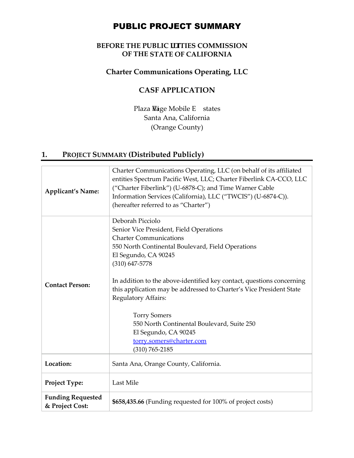# PUBLIC PROJECT SUMMARY

## **BEFORE THE PUBLIC LITTIES COMMISSION OF THE STATE OF CALIFORNIA**

## **Charter Communications Operating, LLC**

## **CASF APPLICATION**

Plaza Wage Mobile E states Santa Ana, California (Orange County)

# **1. PROJECT SUMMARY (Distributed Publicly)**

| <b>Applicant's Name:</b>                    | Charter Communications Operating, LLC (on behalf of its affiliated<br>entities Spectrum Pacific West, LLC; Charter Fiberlink CA-CCO, LLC<br>("Charter Fiberlink") (U-6878-C); and Time Warner Cable<br>Information Services (California), LLC ("TWCIS") (U-6874-C)).<br>(hereafter referred to as "Charter")                                                                                                                                                                                                        |  |
|---------------------------------------------|---------------------------------------------------------------------------------------------------------------------------------------------------------------------------------------------------------------------------------------------------------------------------------------------------------------------------------------------------------------------------------------------------------------------------------------------------------------------------------------------------------------------|--|
| <b>Contact Person:</b>                      | Deborah Picciolo<br>Senior Vice President, Field Operations<br><b>Charter Communications</b><br>550 North Continental Boulevard, Field Operations<br>El Segundo, CA 90245<br>$(310)$ 647-5778<br>In addition to the above-identified key contact, questions concerning<br>this application may be addressed to Charter's Vice President State<br>Regulatory Affairs:<br><b>Torry Somers</b><br>550 North Continental Boulevard, Suite 250<br>El Segundo, CA 90245<br>torry.somers@charter.com<br>$(310) 765 - 2185$ |  |
| Location:                                   | Santa Ana, Orange County, California.                                                                                                                                                                                                                                                                                                                                                                                                                                                                               |  |
| Project Type:                               | Last Mile                                                                                                                                                                                                                                                                                                                                                                                                                                                                                                           |  |
| <b>Funding Requested</b><br>& Project Cost: | \$658,435.66 (Funding requested for 100% of project costs)                                                                                                                                                                                                                                                                                                                                                                                                                                                          |  |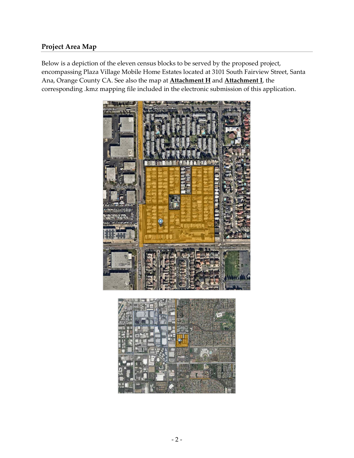## **Project Area Map**

Below is a depiction of the eleven census blocks to be served by the proposed project, encompassing Plaza Village Mobile Home Estates located at 3101 South Fairview Street, Santa Ana, Orange County CA. See also the map at **Attachment H** and **Attachment I**, the corresponding .kmz mapping file included in the electronic submission of this application.

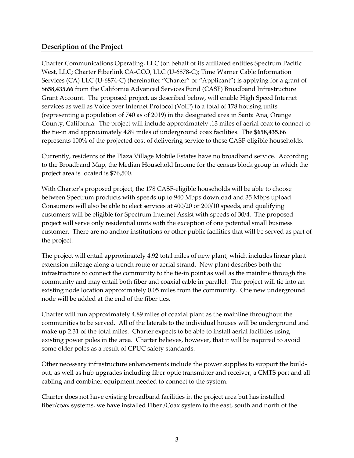### **Description of the Project**

Charter Communications Operating, LLC (on behalf of its affiliated entities Spectrum Pacific West, LLC; Charter Fiberlink CA-CCO, LLC (U-6878-C); Time Warner Cable Information Services (CA) LLC (U-6874-C) (hereinafter "Charter" or "Applicant") is applying for a grant of **\$658,435.66** from the California Advanced Services Fund (CASF) Broadband Infrastructure Grant Account. The proposed project, as described below, will enable High Speed Internet services as well as Voice over Internet Protocol (VoIP) to a total of 178 housing units (representing a population of 740 as of 2019) in the designated area in Santa Ana, Orange County, California. The project will include approximately .13 miles of aerial coax to connect to the tie-in and approximately 4.89 miles of underground coax facilities. The **\$658,435.66**  represents 100% of the projected cost of delivering service to these CASF-eligible households.

Currently, residents of the Plaza Village Mobile Estates have no broadband service. According to the Broadband Map, the Median Household Income for the census block group in which the project area is located is \$76,500.

With Charter's proposed project, the 178 CASF-eligible households will be able to choose between Spectrum products with speeds up to 940 Mbps download and 35 Mbps upload. Consumers will also be able to elect services at 400/20 or 200/10 speeds, and qualifying customers will be eligible for Spectrum Internet Assist with speeds of 30/4. The proposed project will serve only residential units with the exception of one potential small business customer. There are no anchor institutions or other public facilities that will be served as part of the project.

The project will entail approximately 4.92 total miles of new plant, which includes linear plant extension mileage along a trench route or aerial strand. New plant describes both the infrastructure to connect the community to the tie-in point as well as the mainline through the community and may entail both fiber and coaxial cable in parallel. The project will tie into an existing node location approximately 0.05 miles from the community. One new underground node will be added at the end of the fiber ties.

Charter will run approximately 4.89 miles of coaxial plant as the mainline throughout the communities to be served. All of the laterals to the individual houses will be underground and make up 2.31 of the total miles. Charter expects to be able to install aerial facilities using existing power poles in the area. Charter believes, however, that it will be required to avoid some older poles as a result of CPUC safety standards.

Other necessary infrastructure enhancements include the power supplies to support the buildout, as well as hub upgrades including fiber optic transmitter and receiver, a CMTS port and all cabling and combiner equipment needed to connect to the system.

Charter does not have existing broadband facilities in the project area but has installed fiber/coax systems, we have installed Fiber /Coax system to the east, south and north of the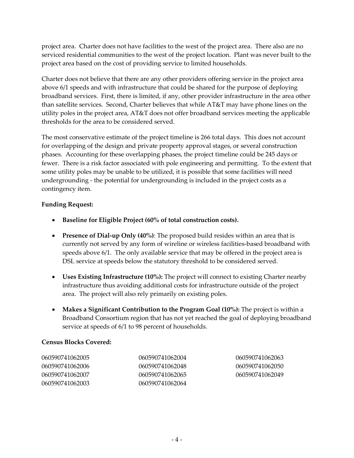project area. Charter does not have facilities to the west of the project area. There also are no serviced residential communities to the west of the project location. Plant was never built to the project area based on the cost of providing service to limited households.

Charter does not believe that there are any other providers offering service in the project area above 6/1 speeds and with infrastructure that could be shared for the purpose of deploying broadband services. First, there is limited, if any, other provider infrastructure in the area other than satellite services. Second, Charter believes that while AT&T may have phone lines on the utility poles in the project area, AT&T does not offer broadband services meeting the applicable thresholds for the area to be considered served.

The most conservative estimate of the project timeline is 266 total days. This does not account for overlapping of the design and private property approval stages, or several construction phases. Accounting for these overlapping phases, the project timeline could be 245 days or fewer. There is a risk factor associated with pole engineering and permitting. To the extent that some utility poles may be unable to be utilized, it is possible that some facilities will need undergrounding - the potential for undergrounding is included in the project costs as a contingency item.

#### **Funding Request:**

- **Baseline for Eligible Project (60% of total construction costs).**
- **Presence of Dial-up Only (40%)**: The proposed build resides within an area that is currently not served by any form of wireline or wireless facilities-based broadband with speeds above 6/1. The only available service that may be offered in the project area is DSL service at speeds below the statutory threshold to be considered served.
- **Uses Existing Infrastructure (10%):** The project will connect to existing Charter nearby infrastructure thus avoiding additional costs for infrastructure outside of the project area. The project will also rely primarily on existing poles.
- **Makes a Significant Contribution to the Program Goal (10%):** The project is within a Broadband Consortium region that has not yet reached the goal of deploying broadband service at speeds of  $6/1$  to 98 percent of households.

#### **Census Blocks Covered:**

| 060590741062005 | 060590741062004 | 060590741062063 |
|-----------------|-----------------|-----------------|
| 060590741062006 | 060590741062048 | 060590741062050 |
| 060590741062007 | 060590741062065 | 060590741062049 |
| 060590741062003 | 060590741062064 |                 |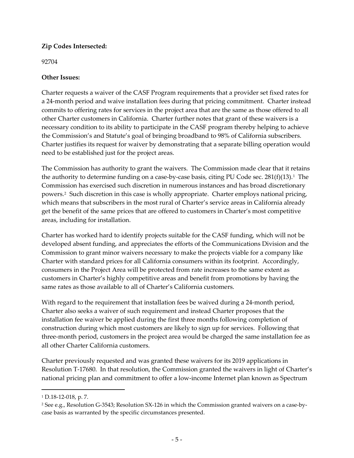### **Zip Codes Intersected:**

#### 92704

### **Other Issues:**

Charter requests a waiver of the CASF Program requirements that a provider set fixed rates for a 24-month period and waive installation fees during that pricing commitment. Charter instead commits to offering rates for services in the project area that are the same as those offered to all other Charter customers in California. Charter further notes that grant of these waivers is a necessary condition to its ability to participate in the CASF program thereby helping to achieve the Commission's and Statute's goal of bringing broadband to 98% of California subscribers. Charter justifies its request for waiver by demonstrating that a separate billing operation would need to be established just for the project areas.

The Commission has authority to grant the waivers. The Commission made clear that it retains the authority to determine funding on a case-by-case basis, citing PU Code sec.  $281(f)(13)$  $281(f)(13)$  $281(f)(13)$ .<sup>1</sup> The Commission has exercised such discretion in numerous instances and has broad discretionary powers.[2](#page-4-1) Such discretion in this case is wholly appropriate. Charter employs national pricing, which means that subscribers in the most rural of Charter's service areas in California already get the benefit of the same prices that are offered to customers in Charter's most competitive areas, including for installation.

Charter has worked hard to identify projects suitable for the CASF funding, which will not be developed absent funding, and appreciates the efforts of the Communications Division and the Commission to grant minor waivers necessary to make the projects viable for a company like Charter with standard prices for all California consumers within its footprint. Accordingly, consumers in the Project Area will be protected from rate increases to the same extent as customers in Charter's highly competitive areas and benefit from promotions by having the same rates as those available to all of Charter's California customers.

With regard to the requirement that installation fees be waived during a 24-month period, Charter also seeks a waiver of such requirement and instead Charter proposes that the installation fee waiver be applied during the first three months following completion of construction during which most customers are likely to sign up for services. Following that three-month period, customers in the project area would be charged the same installation fee as all other Charter California customers.

Charter previously requested and was granted these waivers for its 2019 applications in Resolution T-17680. In that resolution, the Commission granted the waivers in light of Charter's national pricing plan and commitment to offer a low-income Internet plan known as Spectrum

l

<span id="page-4-0"></span><sup>1</sup> D.18-12-018, p. 7.

<span id="page-4-1"></span><sup>2</sup> See e.g., Resolution G-3543; Resolution SX-126 in which the Commission granted waivers on a case-bycase basis as warranted by the specific circumstances presented.